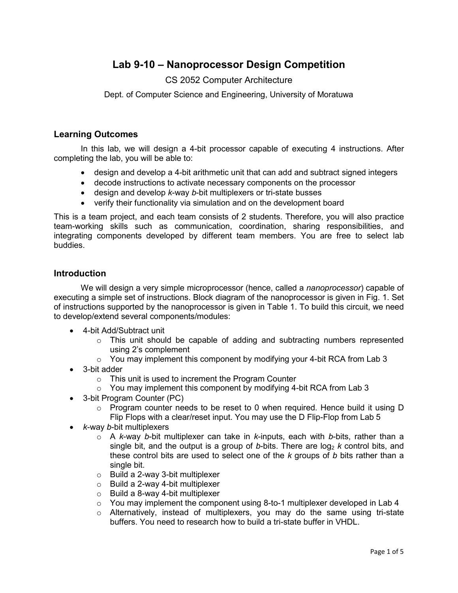# **Lab 9-10 – Nanoprocessor Design Competition**

## CS 2052 Computer Architecture

Dept. of Computer Science and Engineering, University of Moratuwa

#### **Learning Outcomes**

In this lab, we will design a 4-bit processor capable of executing 4 instructions. After completing the lab, you will be able to:

- design and develop a 4-bit arithmetic unit that can add and subtract signed integers
- decode instructions to activate necessary components on the processor
- design and develop *k*-way *b*-bit multiplexers or tri-state busses
- verify their functionality via simulation and on the development board

This is a team project, and each team consists of 2 students. Therefore, you will also practice team-working skills such as communication, coordination, sharing responsibilities, and integrating components developed by different team members. You are free to select lab buddies.

#### **Introduction**

We will design a very simple microprocessor (hence, called a *nanoprocessor*) capable of executing a simple set of instructions. Block diagram of the nanoprocessor is given in Fig. 1. Set of instructions supported by the nanoprocessor is given in Table 1. To build this circuit, we need to develop/extend several components/modules:

- 4-bit Add/Subtract unit
	- $\circ$  This unit should be capable of adding and subtracting numbers represented using 2's complement
	- $\circ$  You may implement this component by modifying your 4-bit RCA from Lab 3
- 3-bit adder
	- o This unit is used to increment the Program Counter
	- $\circ$  You may implement this component by modifying 4-bit RCA from Lab 3
- 3-bit Program Counter (PC)
	- o Program counter needs to be reset to 0 when required. Hence build it using D Flip Flops with a clear/reset input. You may use the D Flip-Flop from Lab 5
- *k*-way *b*-bit multiplexers
	- o A *k*-way *b*-bit multiplexer can take in *k*-inputs, each with *b*-bits, rather than a single bit, and the output is a group of b-bits. There are  $log_2 k$  control bits, and these control bits are used to select one of the *k* groups of *b* bits rather than a single bit.
	- o Build a 2-way 3-bit multiplexer
	- o Build a 2-way 4-bit multiplexer
	- $\circ$  Build a 8-way 4-bit multiplexer
	- $\circ$  You may implement the component using 8-to-1 multiplexer developed in Lab 4
	- $\circ$  Alternatively, instead of multiplexers, you may do the same using tri-state buffers. You need to research how to build a tri-state buffer in VHDL.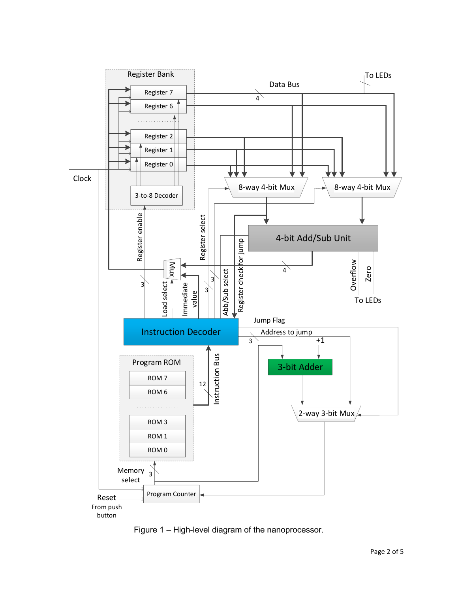

Figure 1 – High-level diagram of the nanoprocessor.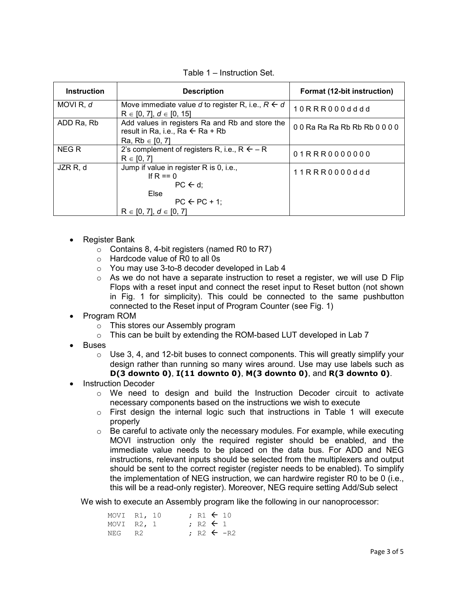| <b>Instruction</b>   | <b>Description</b>                                                                             | Format (12-bit instruction) |  |  |  |
|----------------------|------------------------------------------------------------------------------------------------|-----------------------------|--|--|--|
| MOVI <sub>R, d</sub> | Move immediate value d to register R, i.e., $R \leftarrow d$<br>$R \in [0, 7], d \in [0, 15]$  | 10RRR000dddd                |  |  |  |
| ADD Ra, Rb           | Add values in registers Ra and Rb and store the<br>result in Ra, i.e., Ra $\leftarrow$ Ra + Rb | 00 Ra Ra Ra Rb Rb Rb 0000   |  |  |  |
|                      | Ra, Rb $\in$ [0, 7]                                                                            |                             |  |  |  |
| NEG R                | 2's complement of registers R, i.e., $R \leftarrow R$<br>$R \in [0, 7]$                        | 01RRR0000000                |  |  |  |
| JZR R, d             | Jump if value in register R is 0, i.e.,<br>If R == $0$                                         | 11RRR0000ddd                |  |  |  |
|                      | $PC \leftarrow d$ ;                                                                            |                             |  |  |  |
|                      | Else                                                                                           |                             |  |  |  |
|                      | $PC \leftarrow PC + 1$ ;                                                                       |                             |  |  |  |
|                      | $R \in [0, 7], d \in [0, 7]$                                                                   |                             |  |  |  |

Table 1 – Instruction Set.

- Register Bank
	- $\circ$  Contains 8, 4-bit registers (named R0 to R7)
	- o Hardcode value of R0 to all 0s
	- o You may use 3-to-8 decoder developed in Lab 4
	- $\circ$  As we do not have a separate instruction to reset a register, we will use D Flip Flops with a reset input and connect the reset input to Reset button (not shown in Fig. 1 for simplicity). This could be connected to the same pushbutton connected to the Reset input of Program Counter (see Fig. 1)
- Program ROM
	- o This stores our Assembly program
	- o This can be built by extending the ROM-based LUT developed in Lab 7
- **Buses** 
	- $\circ$  Use 3, 4, and 12-bit buses to connect components. This will greatly simplify your design rather than running so many wires around. Use may use labels such as **D(3 downto 0)**, **I(11 downto 0)**, **M(3 downto 0)**, and **R(3 downto 0)**.
- Instruction Decoder
	- $\circ$  We need to design and build the Instruction Decoder circuit to activate necessary components based on the instructions we wish to execute
	- $\circ$  First design the internal logic such that instructions in Table 1 will execute properly
	- $\circ$  Be careful to activate only the necessary modules. For example, while executing MOVI instruction only the required register should be enabled, and the immediate value needs to be placed on the data bus. For ADD and NEG instructions, relevant inputs should be selected from the multiplexers and output should be sent to the correct register (register needs to be enabled). To simplify the implementation of NEG instruction, we can hardwire register R0 to be 0 (i.e., this will be a read-only register). Moreover, NEG require setting Add/Sub select

We wish to execute an Assembly program like the following in our nanoprocessor:

| MOVI R1, 10  |  |  | $: R1 \leftarrow 10$ |                       |
|--------------|--|--|----------------------|-----------------------|
| MOVI $R2, 1$ |  |  | $: R2 \leftarrow 1$  |                       |
| NEG R2       |  |  |                      | $: R2 \leftarrow -R2$ |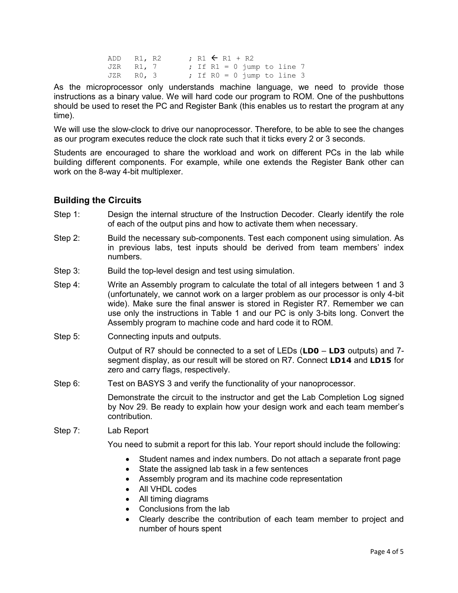| ADD R1, R2 |  |  |  | $: R1 \leftarrow R1 + R2$ |                              |  |
|------------|--|--|--|---------------------------|------------------------------|--|
| JZR R1, 7  |  |  |  |                           | ; If $R1 = 0$ jump to line 7 |  |
| JZR RO, 3  |  |  |  |                           | ; If $R0 = 0$ jump to line 3 |  |

As the microprocessor only understands machine language, we need to provide those instructions as a binary value. We will hard code our program to ROM. One of the pushbuttons should be used to reset the PC and Register Bank (this enables us to restart the program at any time).

We will use the slow-clock to drive our nanoprocessor. Therefore, to be able to see the changes as our program executes reduce the clock rate such that it ticks every 2 or 3 seconds.

Students are encouraged to share the workload and work on different PCs in the lab while building different components. For example, while one extends the Register Bank other can work on the 8-way 4-bit multiplexer.

#### **Building the Circuits**

- Step 1: Design the internal structure of the Instruction Decoder. Clearly identify the role of each of the output pins and how to activate them when necessary.
- Step 2: Build the necessary sub-components. Test each component using simulation. As in previous labs, test inputs should be derived from team members' index numbers.
- Step 3: Build the top-level design and test using simulation.
- Step 4: Write an Assembly program to calculate the total of all integers between 1 and 3 (unfortunately, we cannot work on a larger problem as our processor is only 4-bit wide). Make sure the final answer is stored in Register R7. Remember we can use only the instructions in Table 1 and our PC is only 3-bits long. Convert the Assembly program to machine code and hard code it to ROM.
- Step 5: Connecting inputs and outputs.

Output of R7 should be connected to a set of LEDs (**LD0** – **LD3** outputs) and 7 segment display, as our result will be stored on R7. Connect **LD14** and **LD15** for zero and carry flags, respectively.

Step 6: Test on BASYS 3 and verify the functionality of your nanoprocessor.

Demonstrate the circuit to the instructor and get the Lab Completion Log signed by Nov 29. Be ready to explain how your design work and each team member's contribution.

Step 7: Lab Report

You need to submit a report for this lab. Your report should include the following:

- Student names and index numbers. Do not attach a separate front page
- State the assigned lab task in a few sentences
- Assembly program and its machine code representation
- All VHDL codes
- All timing diagrams
- Conclusions from the lab
- Clearly describe the contribution of each team member to project and number of hours spent